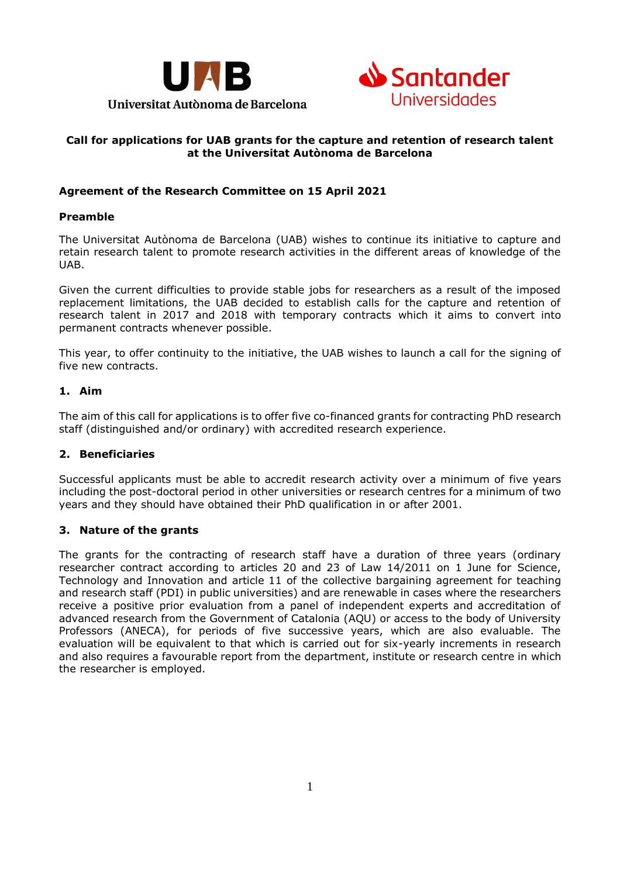



# **Call for applications for UAB grants for the capture and retention of research talent at the Universitat Autònoma de Barcelona**

# **Agreement of the Research Committee on 15 April 2021**

#### **Preamble**

The Universitat Autònoma de Barcelona (UAB) wishes to continue its initiative to capture and retain research talent to promote research activities in the different areas of knowledge of the UAB.

Given the current difficulties to provide stable jobs for researchers as a result of the imposed replacement limitations, the UAB decided to establish calls for the capture and retention of research talent in 2017 and 2018 with temporary contracts which it aims to convert into permanent contracts whenever possible.

This year, to offer continuity to the initiative, the UAB wishes to launch a call for the signing of five new contracts.

## **1. Aim**

The aim of this call for applications is to offer five co-financed grants for contracting PhD research staff (distinguished and/or ordinary) with accredited research experience.

## **2. Beneficiaries**

Successful applicants must be able to accredit research activity over a minimum of five years including the post-doctoral period in other universities or research centres for a minimum of two years and they should have obtained their PhD qualification in or after 2001.

## **3. Nature of the grants**

The grants for the contracting of research staff have a duration of three years (ordinary researcher contract according to articles 20 and 23 of Law 14/2011 on 1 June for Science, Technology and Innovation and article 11 of the collective bargaining agreement for teaching and research staff (PDI) in public universities) and are renewable in cases where the researchers receive a positive prior evaluation from a panel of independent experts and accreditation of advanced research from the Government of Catalonia (AQU) or access to the body of University Professors (ANECA), for periods of five successive years, which are also evaluable. The evaluation will be equivalent to that which is carried out for six-yearly increments in research and also requires a favourable report from the department, institute or research centre in which the researcher is employed.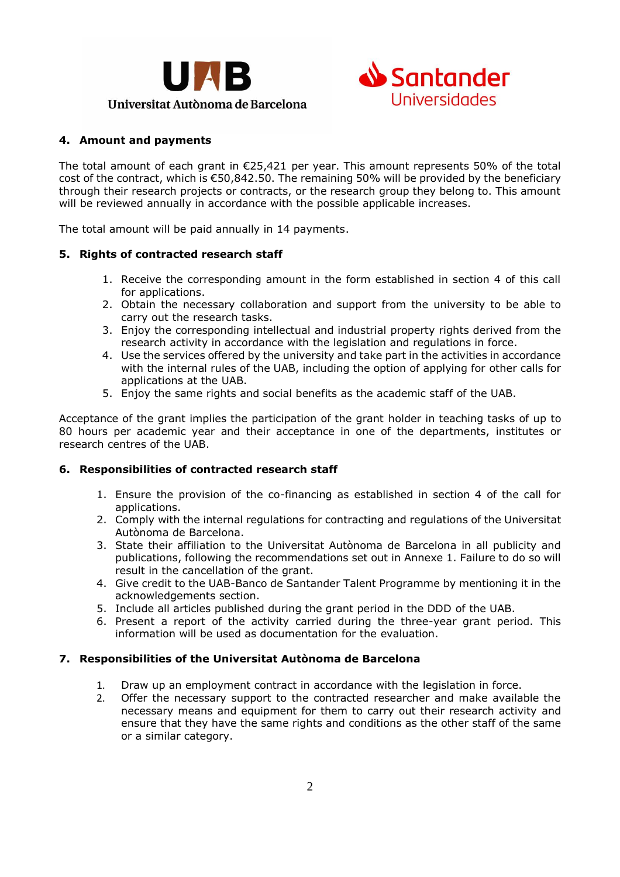



# **4. Amount and payments**

The total amount of each grant in €25,421 per year. This amount represents 50% of the total cost of the contract, which is  $\epsilon$ 50,842,50. The remaining 50% will be provided by the beneficiary through their research projects or contracts, or the research group they belong to. This amount will be reviewed annually in accordance with the possible applicable increases.

The total amount will be paid annually in 14 payments.

## **5. Rights of contracted research staff**

- 1. Receive the corresponding amount in the form established in section 4 of this call for applications.
- 2. Obtain the necessary collaboration and support from the university to be able to carry out the research tasks.
- 3. Enjoy the corresponding intellectual and industrial property rights derived from the research activity in accordance with the legislation and regulations in force.
- 4. Use the services offered by the university and take part in the activities in accordance with the internal rules of the UAB, including the option of applying for other calls for applications at the UAB.
- 5. Enjoy the same rights and social benefits as the academic staff of the UAB.

Acceptance of the grant implies the participation of the grant holder in teaching tasks of up to 80 hours per academic year and their acceptance in one of the departments, institutes or research centres of the UAB.

## **6. Responsibilities of contracted research staff**

- 1. Ensure the provision of the co-financing as established in section 4 of the call for applications.
- 2. Comply with the internal regulations for contracting and regulations of the Universitat Autònoma de Barcelona.
- 3. State their affiliation to the Universitat Autònoma de Barcelona in all publicity and publications, following the recommendations set out in Annexe 1. Failure to do so will result in the cancellation of the grant.
- 4. Give credit to the UAB-Banco de Santander Talent Programme by mentioning it in the acknowledgements section.
- 5. Include all articles published during the grant period in the DDD of the UAB.
- 6. Present a report of the activity carried during the three-year grant period. This information will be used as documentation for the evaluation.

## **7. Responsibilities of the Universitat Autònoma de Barcelona**

- 1. Draw up an employment contract in accordance with the legislation in force.
- 2. Offer the necessary support to the contracted researcher and make available the necessary means and equipment for them to carry out their research activity and ensure that they have the same rights and conditions as the other staff of the same or a similar category.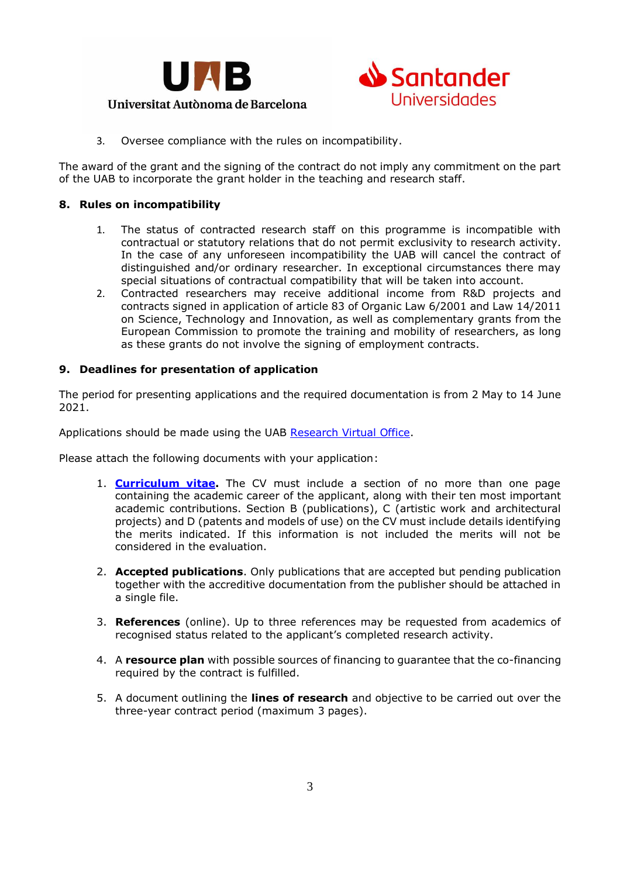



# Universitat Autònoma de Barcelona

3. Oversee compliance with the rules on incompatibility.

The award of the grant and the signing of the contract do not imply any commitment on the part of the UAB to incorporate the grant holder in the teaching and research staff.

## **8. Rules on incompatibility**

- 1. The status of contracted research staff on this programme is incompatible with contractual or statutory relations that do not permit exclusivity to research activity. In the case of any unforeseen incompatibility the UAB will cancel the contract of distinguished and/or ordinary researcher. In exceptional circumstances there may special situations of contractual compatibility that will be taken into account.
- 2. Contracted researchers may receive additional income from R&D projects and contracts signed in application of article 83 of Organic Law 6/2001 and Law 14/2011 on Science, Technology and Innovation, as well as complementary grants from the European Commission to promote the training and mobility of researchers, as long as these grants do not involve the signing of employment contracts.

## **9. Deadlines for presentation of application**

The period for presenting applications and the required documentation is from 2 May to 14 June 2021.

Applications should be made using the UAB [Research Virtual Office.](https://www.uab.cat/web/research/itineraries/tools-resources-for-scientific-research/uab-research-virtual-office-1345797994747.html)

Please attach the following documents with your application:

- 1. **[Curriculum](http://www.aqu.cat/doc/doc_16006124_1.doc) vitae.** The CV must include a section of no more than one page containing the academic career of the applicant, along with their ten most important academic contributions. Section B (publications), C (artistic work and architectural projects) and D (patents and models of use) on the CV must include details identifying the merits indicated. If this information is not included the merits will not be considered in the evaluation.
- 2. **Accepted publications**. Only publications that are accepted but pending publication together with the accreditive documentation from the publisher should be attached in a single file.
- 3. **References** (online). Up to three references may be requested from academics of recognised status related to the applicant's completed research activity.
- 4. A **resource plan** with possible sources of financing to guarantee that the co-financing required by the contract is fulfilled.
- 5. A document outlining the **lines of research** and objective to be carried out over the three-year contract period (maximum 3 pages).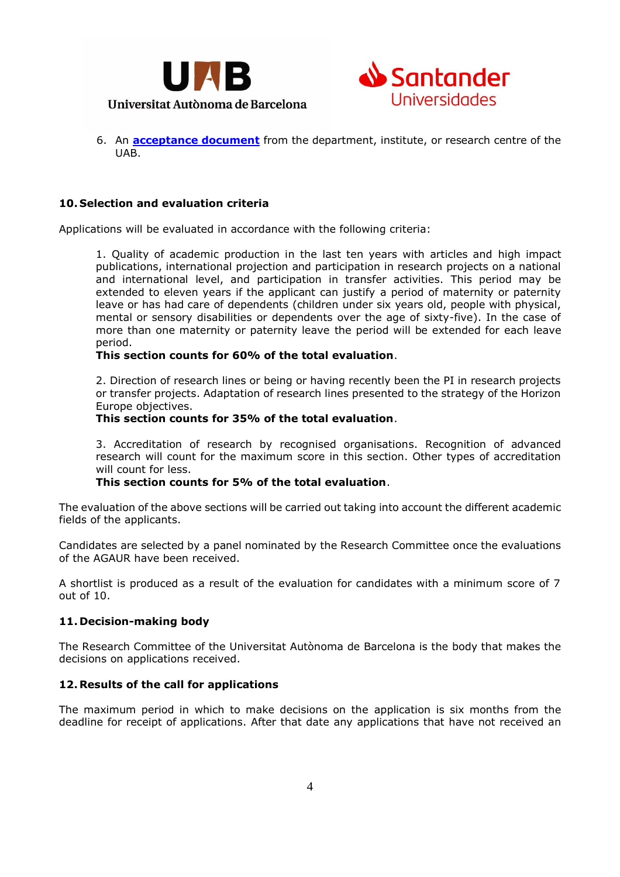



6. An **[acceptance document](https://www.uab.cat/doc/Talent-acceptacio-direccio)** from the department, institute, or research centre of the UAB.

## **10. Selection and evaluation criteria**

Applications will be evaluated in accordance with the following criteria:

1. Quality of academic production in the last ten years with articles and high impact publications, international projection and participation in research projects on a national and international level, and participation in transfer activities. This period may be extended to eleven years if the applicant can justify a period of maternity or paternity leave or has had care of dependents (children under six years old, people with physical, mental or sensory disabilities or dependents over the age of sixty-five). In the case of more than one maternity or paternity leave the period will be extended for each leave period.

## **This section counts for 60% of the total evaluation**.

2. Direction of research lines or being or having recently been the PI in research projects or transfer projects. Adaptation of research lines presented to the strategy of the Horizon Europe objectives.

#### **This section counts for 35% of the total evaluation**.

3. Accreditation of research by recognised organisations. Recognition of advanced research will count for the maximum score in this section. Other types of accreditation will count for less.

## **This section counts for 5% of the total evaluation**.

The evaluation of the above sections will be carried out taking into account the different academic fields of the applicants.

Candidates are selected by a panel nominated by the Research Committee once the evaluations of the AGAUR have been received.

A shortlist is produced as a result of the evaluation for candidates with a minimum score of 7 out of 10.

## **11. Decision-making body**

The Research Committee of the Universitat Autònoma de Barcelona is the body that makes the decisions on applications received.

## **12. Results of the call for applications**

The maximum period in which to make decisions on the application is six months from the deadline for receipt of applications. After that date any applications that have not received an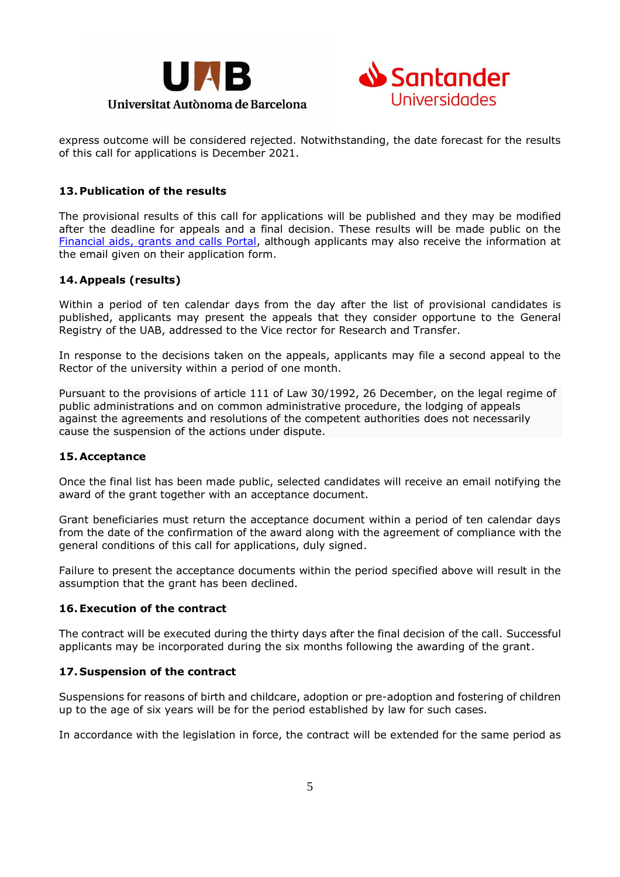



express outcome will be considered rejected. Notwithstanding, the date forecast for the results of this call for applications is December 2021.

# **13. Publication of the results**

The provisional results of this call for applications will be published and they may be modified after the deadline for appeals and a final decision. These results will be made public on the [Financial aids, grants and calls Portal,](https://www.uab.cat/web/research/itineraries/uab-research/research-grants-1345806499208.html) although applicants may also receive the information at the email given on their application form.

## **14. Appeals (results)**

Within a period of ten calendar days from the day after the list of provisional candidates is published, applicants may present the appeals that they consider opportune to the General Registry of the UAB, addressed to the Vice rector for Research and Transfer.

In response to the decisions taken on the appeals, applicants may file a second appeal to the Rector of the university within a period of one month.

Pursuant to the provisions of article 111 of Law 30/1992, 26 December, on the legal regime of public administrations and on common administrative procedure, the lodging of appeals against the agreements and resolutions of the competent authorities does not necessarily cause the suspension of the actions under dispute.

## **15. Acceptance**

Once the final list has been made public, selected candidates will receive an email notifying the award of the grant together with an acceptance document.

Grant beneficiaries must return the acceptance document within a period of ten calendar days from the date of the confirmation of the award along with the agreement of compliance with the general conditions of this call for applications, duly signed.

Failure to present the acceptance documents within the period specified above will result in the assumption that the grant has been declined.

## **16.Execution of the contract**

The contract will be executed during the thirty days after the final decision of the call. Successful applicants may be incorporated during the six months following the awarding of the grant.

## **17. Suspension of the contract**

Suspensions for reasons of birth and childcare, adoption or pre-adoption and fostering of children up to the age of six years will be for the period established by law for such cases.

In accordance with the legislation in force, the contract will be extended for the same period as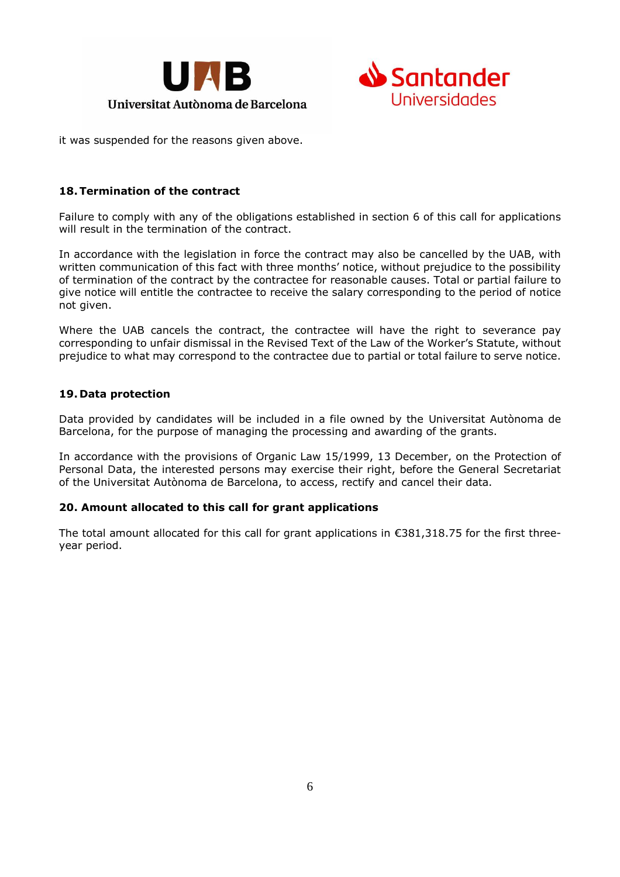



it was suspended for the reasons given above.

# **18.Termination of the contract**

Failure to comply with any of the obligations established in section 6 of this call for applications will result in the termination of the contract.

In accordance with the legislation in force the contract may also be cancelled by the UAB, with written communication of this fact with three months' notice, without prejudice to the possibility of termination of the contract by the contractee for reasonable causes. Total or partial failure to give notice will entitle the contractee to receive the salary corresponding to the period of notice not given.

Where the UAB cancels the contract, the contractee will have the right to severance pay corresponding to unfair dismissal in the Revised Text of the Law of the Worker's Statute, without prejudice to what may correspond to the contractee due to partial or total failure to serve notice.

# **19. Data protection**

Data provided by candidates will be included in a file owned by the Universitat Autònoma de Barcelona, for the purpose of managing the processing and awarding of the grants.

In accordance with the provisions of Organic Law 15/1999, 13 December, on the Protection of Personal Data, the interested persons may exercise their right, before the General Secretariat of the Universitat Autònoma de Barcelona, to access, rectify and cancel their data.

## **20. Amount allocated to this call for grant applications**

The total amount allocated for this call for grant applications in  $\epsilon$ 381,318.75 for the first threeyear period.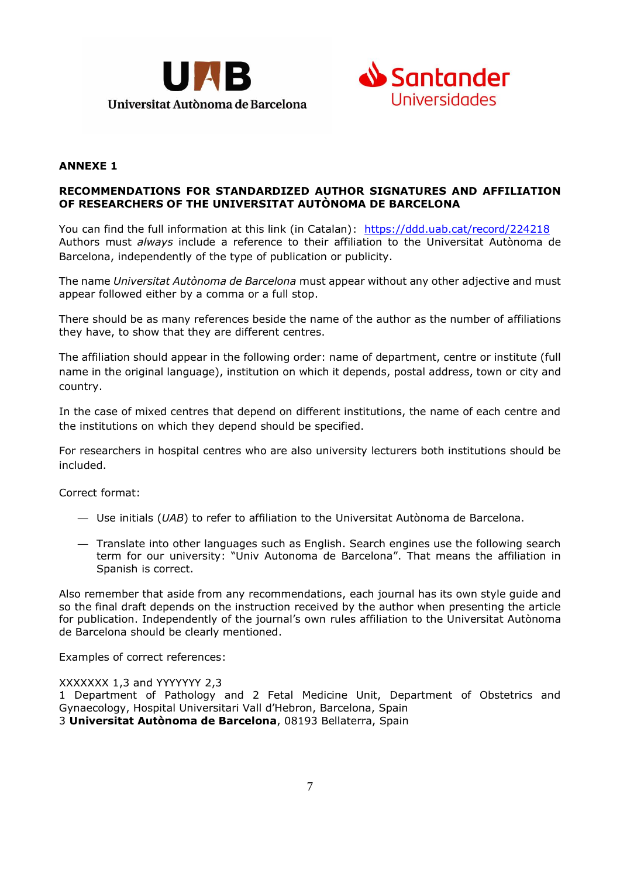



## **ANNEXE 1**

## **RECOMMENDATIONS FOR STANDARDIZED AUTHOR SIGNATURES AND AFFILIATION OF RESEARCHERS OF THE UNIVERSITAT AUTÒNOMA DE BARCELONA**

You can find the full information at this link (in Catalan): <https://ddd.uab.cat/record/224218> Authors must *always* include a reference to their affiliation to the Universitat Autònoma de Barcelona, independently of the type of publication or publicity.

The name *Universitat Autònoma de Barcelona* must appear without any other adjective and must appear followed either by a comma or a full stop.

There should be as many references beside the name of the author as the number of affiliations they have, to show that they are different centres.

The affiliation should appear in the following order: name of department, centre or institute (full name in the original language), institution on which it depends, postal address, town or city and country.

In the case of mixed centres that depend on different institutions, the name of each centre and the institutions on which they depend should be specified.

For researchers in hospital centres who are also university lecturers both institutions should be included.

Correct format:

- Use initials (*UAB*) to refer to affiliation to the Universitat Autònoma de Barcelona.
- Translate into other languages such as English. Search engines use the following search term for our university: "Univ Autonoma de Barcelona". That means the affiliation in Spanish is correct.

Also remember that aside from any recommendations, each journal has its own style guide and so the final draft depends on the instruction received by the author when presenting the article for publication. Independently of the journal's own rules affiliation to the Universitat Autònoma de Barcelona should be clearly mentioned.

Examples of correct references:

XXXXXXX 1,3 and YYYYYYY 2,3

1 Department of Pathology and 2 Fetal Medicine Unit, Department of Obstetrics and Gynaecology, Hospital Universitari Vall d'Hebron, Barcelona, Spain 3 **Universitat Autònoma de Barcelona**, 08193 Bellaterra, Spain